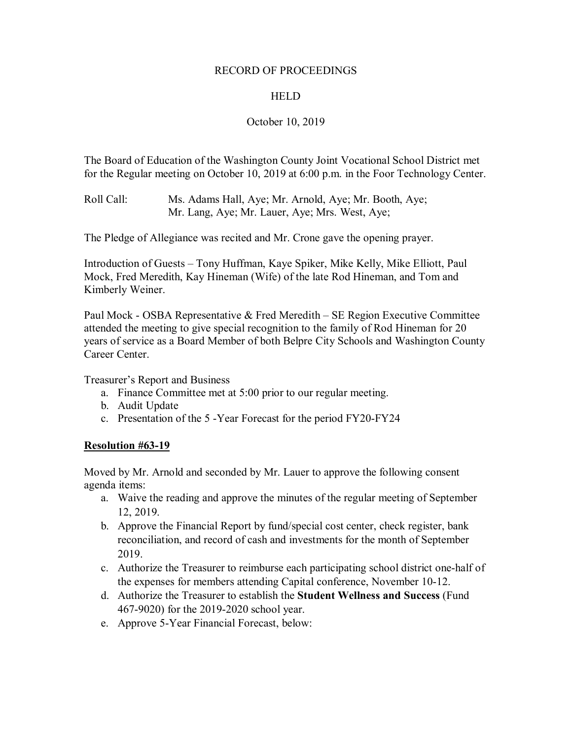### RECORD OF PROCEEDINGS

# HELD

# October 10, 2019

The Board of Education of the Washington County Joint Vocational School District met for the Regular meeting on October 10, 2019 at 6:00 p.m. in the Foor Technology Center.

Roll Call: Ms. Adams Hall, Aye; Mr. Arnold, Aye; Mr. Booth, Aye; Mr. Lang, Aye; Mr. Lauer, Aye; Mrs. West, Aye;

The Pledge of Allegiance was recited and Mr. Crone gave the opening prayer.

Introduction of Guests – Tony Huffman, Kaye Spiker, Mike Kelly, Mike Elliott, Paul Mock, Fred Meredith, Kay Hineman (Wife) of the late Rod Hineman, and Tom and Kimberly Weiner.

Paul Mock - OSBA Representative & Fred Meredith – SE Region Executive Committee attended the meeting to give special recognition to the family of Rod Hineman for 20 years of service as a Board Member of both Belpre City Schools and Washington County Career Center.

Treasurer's Report and Business

- a. Finance Committee met at 5:00 prior to our regular meeting.
- b. Audit Update
- c. Presentation of the 5 -Year Forecast for the period FY20-FY24

# **Resolution #63-19**

Moved by Mr. Arnold and seconded by Mr. Lauer to approve the following consent agenda items:

- a. Waive the reading and approve the minutes of the regular meeting of September 12, 2019.
- b. Approve the Financial Report by fund/special cost center, check register, bank reconciliation, and record of cash and investments for the month of September 2019.
- c. Authorize the Treasurer to reimburse each participating school district one-half of the expenses for members attending Capital conference, November 10-12.
- d. Authorize the Treasurer to establish the **Student Wellness and Success** (Fund 467-9020) for the 2019-2020 school year.
- e. Approve 5-Year Financial Forecast, below: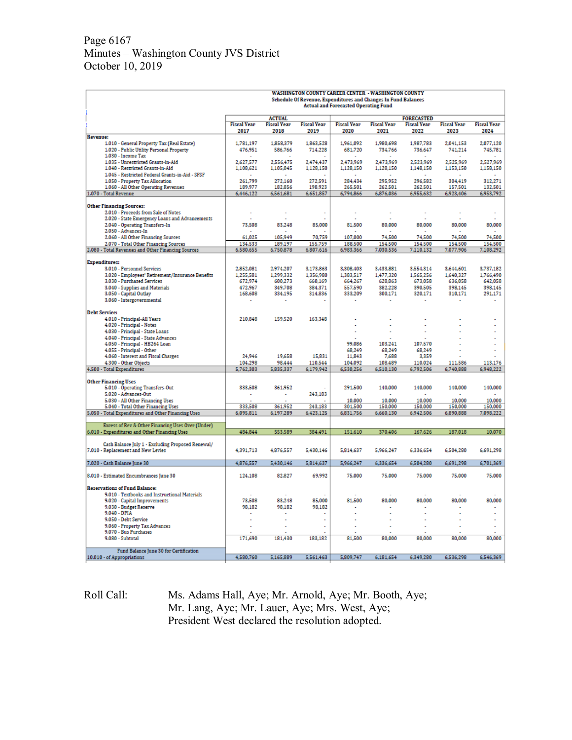# Page 6167 Minutes – Washington County JVS District October 10, 2019

|                                                                                        |                            | <b>WASHINGTON COUNTY CAREER CENTER - WASHINGTON COUNTY</b><br>Schedule Of Revenue, Expenditures and Changes In Fund Balances<br><b>Actual and Forecasted Operating Fund</b> |                            |                            |                            |                            |                            |                            |  |
|----------------------------------------------------------------------------------------|----------------------------|-----------------------------------------------------------------------------------------------------------------------------------------------------------------------------|----------------------------|----------------------------|----------------------------|----------------------------|----------------------------|----------------------------|--|
|                                                                                        |                            | <b>ACTUAL</b>                                                                                                                                                               |                            |                            |                            | <b>FORECASTED</b>          |                            |                            |  |
|                                                                                        | <b>Fiscal Year</b><br>2017 | <b>Fiscal Year</b><br>2018                                                                                                                                                  | <b>Fiscal Year</b><br>2019 | <b>Fiscal Year</b><br>2020 | <b>Fiscal Year</b><br>2021 | <b>Fiscal Year</b><br>2022 | <b>Fiscal Year</b><br>2023 | <b>Fiscal Year</b><br>2024 |  |
| <b>Revenue:</b>                                                                        |                            |                                                                                                                                                                             |                            |                            |                            |                            |                            |                            |  |
| 1.010 - General Property Tax (Real Estate)<br>1.020 - Public Utility Personal Property | 1.781.197<br>476,951       | 1,858.379<br>586.766                                                                                                                                                        | 1.863.528<br>714,228       | 1.961.092<br>681,720       | 1.980.698<br>734,766       | 1.987.783<br>736,647       | 2.041.153<br>741,214       | 2.077.120<br>745,781       |  |
| 1.030 - Income Tax                                                                     |                            |                                                                                                                                                                             |                            |                            |                            |                            |                            |                            |  |
| 1.035 - Unrestricted Grants-in-Aid                                                     | 2,627,577                  | 2,556,475                                                                                                                                                                   | 2,474,437                  | 2.473.969                  | 2.473.969                  | 2.523.969                  | 2,525,969                  | 2,527,969                  |  |
| 1.040 - Restricted Grants-in-Aid<br>1.045 - Restricted Federal Grants-in-Aid - SFSF    | 1,108,621                  | 1,105,045                                                                                                                                                                   | 1,128,150                  | 1,128,150                  | 1,128,150                  | 1,148,150                  | 1,153,150                  | 1,158,150                  |  |
| 1.050 - Property Tax Allocation                                                        | 261,799                    | 272,160                                                                                                                                                                     | 272.591                    | 284,434                    | 295.952                    | 296.582                    | 304,419                    | 312,271                    |  |
| 1.060 - All Other Operating Revenues                                                   | 189,977                    | 182.856                                                                                                                                                                     | 198.923                    | 265,501                    | 262,501                    | 262,501                    | 157,501                    | 132,501                    |  |
| 1.070 - Total Revenue                                                                  | 6,446,122                  | 6,561,681                                                                                                                                                                   | 6,651,857                  | 6,794,866                  | 6,876,036                  | 6,955,632                  | 6,923,406                  | 6,953,792                  |  |
| <b>Other Financing Sources:</b>                                                        |                            |                                                                                                                                                                             |                            |                            |                            |                            |                            |                            |  |
| 2.010 - Proceeds from Sale of Notes                                                    | ÷                          |                                                                                                                                                                             |                            | ı.                         | ÷,                         |                            |                            | ÷                          |  |
| 2.020 - State Emergency Loans and Advancements                                         |                            |                                                                                                                                                                             |                            |                            |                            |                            |                            |                            |  |
| 2.040 - Operating Transfers-In<br>2.050 - Advances-In                                  | 73,508                     | 83,248                                                                                                                                                                      | 85,000                     | 81,500                     | 80.000                     | 80.000                     | 80,000                     | 80,000                     |  |
| 2.060 - All Other Financing Sources                                                    | 61,025                     | 105,949                                                                                                                                                                     | 70,759                     | 107,000                    | 74,500                     | 74,500                     | 74,500                     | 74,500                     |  |
| 2.070 - Total Other Financing Sources                                                  | 134,533                    | 189.197                                                                                                                                                                     | 155.759                    | 188,500                    | 154.500                    | 154,500                    | 154,500                    | 154.500                    |  |
| 2.080 - Total Revenues and Other Financing Sources                                     | 6,580,655                  | 6,750,878                                                                                                                                                                   | 6,807,616                  | 6,983,366                  | 7,030,536                  | 7,110,132                  | 7,077,906                  | 7,108,292                  |  |
| <b>Expenditures:</b>                                                                   |                            |                                                                                                                                                                             |                            |                            |                            |                            |                            |                            |  |
| 3.010 - Personnel Services                                                             | 2,852,081                  | 2,974,207                                                                                                                                                                   | 3,173,863                  | 3,308,403                  | 3,433,881                  | 3,554,314                  | 3,644,601                  | 3,737,182                  |  |
| 3.020 - Employees' Retirement/Insurance Benefits                                       | 1,255,581                  | 1,299,332                                                                                                                                                                   | 1,356,980                  | 1,383,517                  | 1,477,320                  | 1,565,256                  | 1,640,327                  | 1,766,490                  |  |
| 3.030 - Purchased Services                                                             | 672,974<br>472.967         | 600,273<br>349.708                                                                                                                                                          | 660,169<br>384,371         | 664,267<br>557,590         | 628,863<br>382,228         | 673,058<br>390,505         | 636,058<br>398.145         | 642,058<br>398.145         |  |
| 3.040 - Supplies and Materials<br>3.050 - Capital Outlay                               | 168,608                    | 334,195                                                                                                                                                                     | 314,836                    | 333,209                    | 300.171                    | 320,171                    | 310,171                    | 291,171                    |  |
| 3.060 - Intergovernmental                                                              |                            |                                                                                                                                                                             |                            |                            |                            |                            |                            |                            |  |
|                                                                                        |                            |                                                                                                                                                                             |                            |                            |                            |                            |                            |                            |  |
| <b>Debt Service:</b><br>4.010 - Principal-All Years                                    | 210.848                    | 159,520                                                                                                                                                                     | 163.348                    |                            |                            |                            |                            |                            |  |
| 4.020 - Principal - Notes                                                              |                            |                                                                                                                                                                             |                            |                            |                            |                            |                            | ٠<br>ä,                    |  |
| 4.030 - Principal - State Loans                                                        |                            |                                                                                                                                                                             |                            |                            |                            |                            |                            |                            |  |
| 4.040 - Principal - State Advances                                                     |                            |                                                                                                                                                                             |                            |                            |                            |                            |                            |                            |  |
| 4.050 - Principal - HB264 Loan                                                         |                            |                                                                                                                                                                             |                            | 99,086                     | 103,241                    | 107,570                    |                            |                            |  |
| 4.055 - Principal - Other                                                              |                            |                                                                                                                                                                             |                            | 68,249                     | 68,249                     | 68,249                     |                            |                            |  |
| 4.060 - Interest and Fiscal Charges<br>4.300 - Other Objects                           | 24,946<br>104,298          | 19,658<br>98,444                                                                                                                                                            | 15,831<br>110.544          | 11,843<br>104.092          | 7,688<br>108,489           | 3,359<br>110,024           | 111,586                    | 113,176                    |  |
| 4.500 - Total Expenditures                                                             | 5,762,303                  | 5,835,337                                                                                                                                                                   | 6,179,942                  | 6,530,256                  | 6,510,130                  | 6.792.506                  | 6,740,888                  | 6,948,222                  |  |
|                                                                                        |                            |                                                                                                                                                                             |                            |                            |                            |                            |                            |                            |  |
| <b>Other Financing Uses</b><br>5.010 - Operating Transfers-Out                         | 333,508                    | 361.952                                                                                                                                                                     |                            | 291,500                    | 140,000                    | 140,000                    | 140,000                    | 140,000                    |  |
| 5.020 - Advances-Out                                                                   | $\tilde{\phantom{a}}$      | $\overline{a}$                                                                                                                                                              | 243,183                    | $\sim$                     | $\sim$                     | $\sim$                     | $\sim$                     | $\sim$                     |  |
| 5.030 - All Other Financing Uses                                                       |                            |                                                                                                                                                                             |                            | 10.000                     | 10,000                     | 10,000                     | 10,000                     | 10,000                     |  |
| 5.040 - Total Other Financing Uses                                                     | 333.508                    | 361.952                                                                                                                                                                     | 243.183                    | 301,500                    | 150,000                    | 150,000                    | 150.000                    | 150,000                    |  |
| 5.050 - Total Expenditures and Other Financing Uses                                    | 6,095,811                  | 6,197,289                                                                                                                                                                   | 6,423,125                  | 6,831,756                  | 6,660,130                  | 6,942,506                  | 6,890,888                  | 7,098,222                  |  |
| Excess of Rev & Other Financing Uses Over (Under)                                      |                            |                                                                                                                                                                             |                            |                            |                            |                            |                            |                            |  |
| 6.010 - Expenditures and Other Financing Uses                                          | 484,844                    | 553,589                                                                                                                                                                     | 384,491                    | 151,610                    | 370,406                    | 167,626                    | 187,018                    | 10,070                     |  |
| Cash Balance July 1 - Excluding Proposed Renewal/                                      |                            |                                                                                                                                                                             |                            |                            |                            |                            |                            |                            |  |
| 7.010 - Replacement and New Levies                                                     | 4.391.713                  | 4,876,557                                                                                                                                                                   | 5,430,146                  | 5.814.637                  | 5.966.247                  | 6.336.654                  | 6.504.280                  | 6.691.298                  |  |
|                                                                                        |                            |                                                                                                                                                                             |                            |                            |                            |                            |                            |                            |  |
| 7.020 - Cash Balance June 30                                                           | 4,876,557                  | 5,430,146                                                                                                                                                                   | 5,814,637                  | 5,966,247                  | 6,336,654                  | 6,504,280                  | 6,691,298                  | 6,701,369                  |  |
| 8.010 - Estimated Encumbrances June 30                                                 | 124,108                    | 82,827                                                                                                                                                                      | 69,992                     | 75,000                     | 75,000                     | 75,000                     | 75,000                     | 75,000                     |  |
|                                                                                        |                            |                                                                                                                                                                             |                            |                            |                            |                            |                            |                            |  |
| <b>Reservations of Fund Balance:</b>                                                   |                            |                                                                                                                                                                             |                            |                            |                            |                            |                            |                            |  |
| 9.010 - Textbooks and Instructional Materials                                          |                            |                                                                                                                                                                             |                            |                            |                            |                            |                            |                            |  |
| 9.020 - Capital Improvements<br>9.030 - Budget Reserve                                 | 73,508<br>98,182           | 83,248<br>98,182                                                                                                                                                            | 85,000<br>98,182           | 81.500                     | 80.000                     | 80.000                     | 80,000                     | 80,000                     |  |
| $9.040 - DPIA$                                                                         |                            |                                                                                                                                                                             |                            |                            |                            |                            | ä,                         | ÷                          |  |
| 9.050 - Debt Service                                                                   |                            |                                                                                                                                                                             |                            |                            |                            |                            |                            | ÷                          |  |
| 9.060 - Property Tax Advances                                                          |                            |                                                                                                                                                                             |                            |                            |                            |                            |                            |                            |  |
| 9.070 - Bus Purchases                                                                  |                            |                                                                                                                                                                             |                            |                            |                            |                            |                            |                            |  |
| 9.080 - Subtotal                                                                       | 171,690                    | 181.430                                                                                                                                                                     | 183,182                    | 81.500                     | 80.000                     | 80.000                     | 80.000                     | 80.000                     |  |
| Fund Balance June 30 for Certification                                                 |                            |                                                                                                                                                                             |                            |                            |                            |                            |                            |                            |  |
| 10.010 - of Appropriations                                                             | 4,580,760                  | 5,165,889                                                                                                                                                                   | 5,561,463                  | 5,809,747                  | 6,181,654                  | 6.349.280                  | 6,536,298                  | 6,546,369                  |  |

Roll Call: Ms. Adams Hall, Aye; Mr. Arnold, Aye; Mr. Booth, Aye; Mr. Lang, Aye; Mr. Lauer, Aye; Mrs. West, Aye; President West declared the resolution adopted.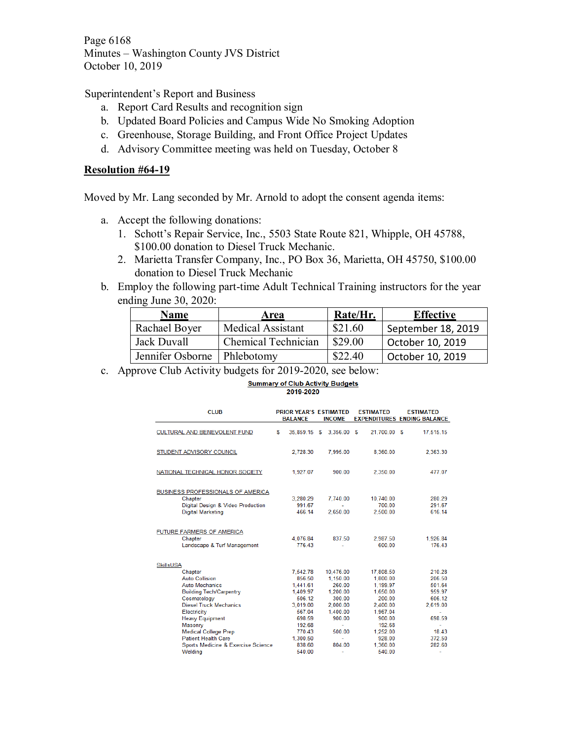Page 6168 Minutes – Washington County JVS District October 10, 2019

Superintendent's Report and Business

- a. Report Card Results and recognition sign
- b. Updated Board Policies and Campus Wide No Smoking Adoption
- c. Greenhouse, Storage Building, and Front Office Project Updates
- d. Advisory Committee meeting was held on Tuesday, October 8

# **Resolution #64-19**

Moved by Mr. Lang seconded by Mr. Arnold to adopt the consent agenda items:

- a. Accept the following donations:
	- 1. Schott's Repair Service, Inc., 5503 State Route 821, Whipple, OH 45788, \$100.00 donation to Diesel Truck Mechanic.
	- 2. Marietta Transfer Company, Inc., PO Box 36, Marietta, OH 45750, \$100.00 donation to Diesel Truck Mechanic
- b. Employ the following part-time Adult Technical Training instructors for the year ending June 30, 2020:

| <b>Name</b>                   | Area                | Rate/Hr. | <b>Effective</b>   |
|-------------------------------|---------------------|----------|--------------------|
| Rachael Boyer                 | Medical Assistant   | \$21.60  | September 18, 2019 |
| Jack Duvall                   | Chemical Technician | \$29.00  | October 10, 2019   |
| Jennifer Osborne   Phlebotomy |                     | \$22.40  | October 10, 2019   |

c. Approve Club Activity budgets for 2019-2020, see below:

### **Summary of Club Activity Budgets** 2019-2020

| <b>CLUB</b>                         | <b>PRIOR YEAR'S ESTIMATED</b><br><b>BALANCE</b> | <b>INCOME</b> | <b>ESTIMATED</b> | <b>ESTIMATED</b><br><b>EXPENDITURES ENDING BALANCE</b> |
|-------------------------------------|-------------------------------------------------|---------------|------------------|--------------------------------------------------------|
| <b>CULTURAL AND BENEVOLENT FUND</b> | S<br>35.859.15 \$                               | 3,356.00 \$   | 21,700.00 \$     | 17,515.15                                              |
| STUDENT ADVISORY COUNCIL            | 2,728.30                                        | 7.995.00      | 8,360.00         | 2.363.30                                               |
| NATIONAL TECHNICAL HONOR SOCIETY    | 1,927.07                                        | 900.00        | 2,350.00         | 477.07                                                 |
| BUSINESS PROFESSIONALS OF AMERICA   |                                                 |               |                  |                                                        |
| Chapter                             | 3,280.29                                        | 7,740.00      | 10,740.00        | 280.29                                                 |
| Digital Design & Video Production   | 991.67<br>466.14                                | ÷.            | 700.00           | 291.67<br>616.14                                       |
| <b>Digital Marketing</b>            |                                                 | 2,650.00      | 2,500.00         |                                                        |
| FUTURE FARMERS OF AMERICA           |                                                 |               |                  |                                                        |
| Chapter                             | 4.076.84                                        | 837.50        | 2.987.50         | 1.926.84                                               |
| Landscape & Turf Management         | 776.43                                          |               | 600.00           | 176.43                                                 |
| <b>SkillsUSA</b>                    |                                                 |               |                  |                                                        |
| Chapter                             | 7.542.78                                        | 10.476.00     | 17,808.50        | 210.28                                                 |
| <b>Auto Collision</b>               | 856.50                                          | 1.150.00      | 1,800.00         | 206.50                                                 |
| <b>Auto Mechanics</b>               | 1,441.61                                        | 260.00        | 1.199.97         | 501.64                                                 |
| <b>Building Tech/Carpentry</b>      | 1,409.97                                        | 1,200.00      | 1,650.00         | 959.97                                                 |
| Cosmetology                         | 506.12                                          | 300.00        | 200.00           | 606.12                                                 |
| <b>Diesel Truck Mechanics</b>       | 3.019.00                                        | 2,000.00      | 2,400.00         | 2,619.00                                               |
| Electricity                         | 567.04                                          | 1,400.00      | 1,967.04         | ٠                                                      |
| <b>Heavy Equipment</b>              | 698.59                                          | 900.00        | 900.00           | 698.59                                                 |
| Masonry                             | 192.68                                          | $\sim$        | 192.68           | ÷                                                      |
| <b>Medical College Prep</b>         | 770.43                                          | 500.00        | 1,252.00         | 18.43                                                  |
| <b>Patient Health Care</b>          | 1,300.50                                        | ٠             | 928.00           | 372.50                                                 |
| Sports Medicine & Exercise Science  | 838.60                                          | 804.00        | 1,360.00         | 282.60                                                 |
| Welding                             | 540 00                                          |               | 540 00           |                                                        |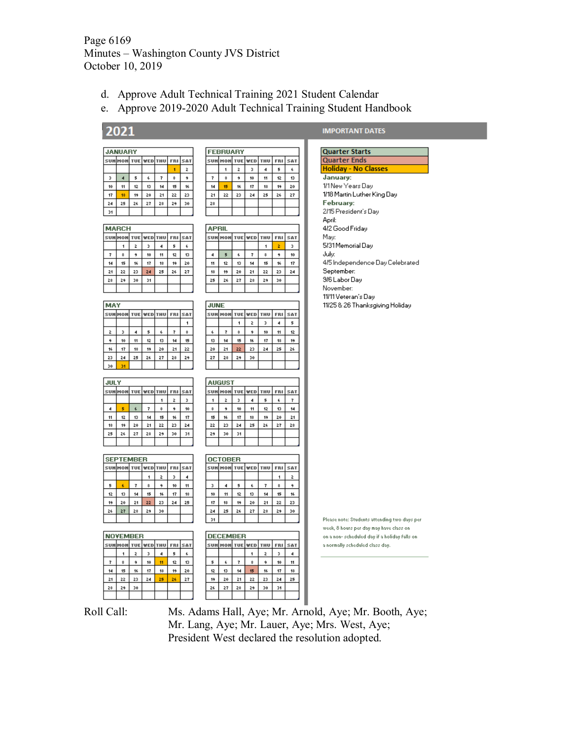Page 6169 Minutes – Washington County JVS District October 10, 2019

- d. Approve Adult Technical Training 2021 Student Calendar
- e. Approve 2019-2020 Adult Technical Training Student Handbook

# 2021

| <b>JANUARY</b> |    |    |    |    |    |    |  |  |  |
|----------------|----|----|----|----|----|----|--|--|--|
|                |    |    |    |    |    |    |  |  |  |
|                |    |    |    |    |    | 2  |  |  |  |
| з              | 4  | 5  | 6  | 7  | \$ | ۹  |  |  |  |
| 10             | 11 | 12 | 13 | 14 | 15 | 16 |  |  |  |
| 17             | 18 | 19 | 20 | 21 | 22 | 23 |  |  |  |
| 24             | 25 | 26 | 27 | 28 | 29 | 30 |  |  |  |
| 31             |    |    |    |    |    |    |  |  |  |

|  |    |    | 2  | 3  | 4  | 5  |  |
|--|----|----|----|----|----|----|--|
|  |    | \$ | ۹  | 10 | 11 | 12 |  |
|  | 14 | 15 | 16 | 17 | 18 | 19 |  |
|  | 21 | 22 | 23 | 24 | 25 | 26 |  |
|  | 28 |    |    |    |    |    |  |
|  |    |    |    |    |    |    |  |
|  |    |    |    |    |    |    |  |

| <b>MARCH</b> |    |    |    |    |    |    |  |  |  |  |  |
|--------------|----|----|----|----|----|----|--|--|--|--|--|
|              |    |    |    |    |    |    |  |  |  |  |  |
|              |    | 2  | з  | 4  | 5  | 6  |  |  |  |  |  |
| 7            | \$ | ۹  | 10 | 11 | 12 | 13 |  |  |  |  |  |
| 14           | 15 | 16 | 17 | 18 | 19 | 20 |  |  |  |  |  |
| 21           | 22 | 23 | 24 | 25 | 26 | 27 |  |  |  |  |  |
| 28           | 29 | 30 | 31 |    |    |    |  |  |  |  |  |
|              |    |    |    |    |    |    |  |  |  |  |  |

| MAY |                         |    |    |    |    |    |  |  |  |  |
|-----|-------------------------|----|----|----|----|----|--|--|--|--|
|     | (ED<br><b>OM</b><br>SA1 |    |    |    |    |    |  |  |  |  |
|     |                         |    |    |    |    |    |  |  |  |  |
| 2   | 3                       | 4  | 5  | 6  | 7  | \$ |  |  |  |  |
| ۹   | 10                      | 11 | 12 | 13 | 14 | 15 |  |  |  |  |
| 16  | 17                      | 18 | 19 | 20 | 21 | 22 |  |  |  |  |
| 23  | 24                      | 25 | 26 | 27 | 28 | 29 |  |  |  |  |
| 30  | 31                      |    |    |    |    |    |  |  |  |  |

| <b>JULY</b> |     |            |     |    |    |     |  |  |  |  |  |
|-------------|-----|------------|-----|----|----|-----|--|--|--|--|--|
|             | нон | <b>TUE</b> | YED |    |    | SAT |  |  |  |  |  |
|             |     |            |     |    | 2  | з   |  |  |  |  |  |
| 4           | 5   | 6          |     | 8  | ۹  | 10  |  |  |  |  |  |
| 11          | 12  | 13         | 14  | 15 | 16 | 17  |  |  |  |  |  |
| 18          | 19  | 20         | 21  | 22 | 23 | 24  |  |  |  |  |  |
| 25          | 26  | 27         | 28  | 29 | 30 | 31  |  |  |  |  |  |
|             |     |            |     |    |    |     |  |  |  |  |  |

| <b>SEPTEMBER</b>      |    |    |    |    |    |                |  |  |  |  |
|-----------------------|----|----|----|----|----|----------------|--|--|--|--|
| τυεΙ<br>veol:<br>тоні |    |    |    |    |    |                |  |  |  |  |
|                       |    |    |    | z  | з  | $\overline{4}$ |  |  |  |  |
| 5                     | ß. | 7  | \$ | ۹  | 10 | 11             |  |  |  |  |
| 12                    | 13 | 14 | 15 | 16 | 17 | 18             |  |  |  |  |
| 19                    | 20 | 21 | 22 | 23 | 24 | 25             |  |  |  |  |
| 26                    | 27 | 28 | 29 | 30 |    |                |  |  |  |  |
|                       |    |    |    |    |    |                |  |  |  |  |

|     | <b>NOVEMBER</b> |            |     |    |    |    |  |  |  |  |
|-----|-----------------|------------|-----|----|----|----|--|--|--|--|
| SUM |                 | <b>IUE</b> | 7ED |    |    |    |  |  |  |  |
|     |                 | 2          | з   | 4  | 5  | 6  |  |  |  |  |
|     | \$              | ٠          | 10  | 11 | 12 | 13 |  |  |  |  |
| 14  | 15              | 16         | 17  | 18 | 19 | 20 |  |  |  |  |
| 21  | 22              | 23         | 24  | 25 | 26 | 27 |  |  |  |  |
| 28  | 29              | 30         |     |    |    |    |  |  |  |  |
|     |                 |            |     |    |    |    |  |  |  |  |

| <b>FEBRUARY</b>         |    |    |    |    |    |  |  |  |  |  |
|-------------------------|----|----|----|----|----|--|--|--|--|--|
| ED<br>SAT<br><b>FRI</b> |    |    |    |    |    |  |  |  |  |  |
|                         | 2  | з  | 4  | 5  | 6  |  |  |  |  |  |
| \$                      | ۹  | 10 | 11 | 12 | 13 |  |  |  |  |  |
| 15                      | 16 | 17 | 18 | 19 | 20 |  |  |  |  |  |
| 22                      | 23 | 24 | 25 | 26 | 27 |  |  |  |  |  |
|                         |    |    |    |    |    |  |  |  |  |  |
|                         |    |    |    |    |    |  |  |  |  |  |

| <b>APRIL</b> |      |            |            |            |            |     |  |  |  |  |
|--------------|------|------------|------------|------------|------------|-----|--|--|--|--|
| SUN          | 10 M | τυεί       | WED        | <b>THU</b> | FRI        | SAT |  |  |  |  |
|              |      |            |            |            | z          | з   |  |  |  |  |
| 4            | 5    | 6          | 7          | 8          | ۹          | 10  |  |  |  |  |
| 11           | 12   | 13         | 14         | 15         | 16         | 17  |  |  |  |  |
| 18           | 19   | 20         | 21         | 22         | 23         | 24  |  |  |  |  |
| 25           | 26   | 27         | 28         | 29         | 30         |     |  |  |  |  |
|              |      |            |            |            |            |     |  |  |  |  |
|              |      |            |            |            |            |     |  |  |  |  |
| <b>JUNE</b>  |      |            |            |            |            |     |  |  |  |  |
| SUM          | 0H   | <b>IUE</b> | <b>FED</b> | HU         | <b>FRI</b> | SAT |  |  |  |  |

### $\,$   $\,$  $\ddot{a}$  $10<sub>10</sub>$  $11$  $12$  $\epsilon$  $\overline{7}$  $\overline{14}$  $17<sup>°</sup>$  $18$  $19<sup>°</sup>$  $13$  $15$  $16$  $\overline{20}$  $21$  $\mathsf{22}^\circ$  $\frac{23}{2}$  $24$  $\frac{25}{25}$ 26 27 28 29 30

|    | <b>AUGUST</b> |     |    |    |    |     |  |
|----|---------------|-----|----|----|----|-----|--|
|    |               | UΕİ |    |    |    | SA' |  |
|    | 2             | з   | 4  | 5  | 6  | 7   |  |
| 8  | 9             | 10  | 11 | 12 | 13 | 14  |  |
| 15 | 16            | 17  | 18 | 19 | 20 | 21  |  |
| 22 | 23            | 24  | 25 | 26 | 27 | 28  |  |
| 29 | 30            | 31  |    |    |    |     |  |
|    |               |     |    |    |    |     |  |

| <b>OCTOBER</b> |    |    |    |    |    |    |
|----------------|----|----|----|----|----|----|
|                |    |    |    |    |    |    |
|                |    |    |    |    |    | 2  |
| þ,             | 4  | 5  | 6  | 7  | \$ | ۹  |
| 10             | 11 | 12 | 13 | 14 | 15 | 16 |
| 17             | 18 | 19 | 20 | 21 | 22 | 23 |
| 24             | 25 | 26 | 27 | 28 | 29 | 30 |
| 31             |    |    |    |    |    |    |

| <b>DECEMBER</b> |    |    |    |    |    |            |
|-----------------|----|----|----|----|----|------------|
|                 |    |    | ED |    |    | <b>SAT</b> |
|                 |    |    |    | 2  | з  | 4          |
| 5               | 6  |    | \$ | 9  | 10 | 11         |
| 12              | 13 | 14 | 15 | 16 | 17 | 18         |
| 19              | 20 | 21 | 22 | 23 | 24 | 25         |
| 26              | 27 | 28 | 29 | 30 | 31 |            |
|                 |    |    |    |    |    |            |

**IMPORTANT DATES** 

| Quarter Starts                  |
|---------------------------------|
| Quarter Ends                    |
| Holiday - No Classes            |
| January:                        |
| 1/1 New Years Day               |
| 1/18 Martin Luther King Day     |
| February:                       |
| 2/15 President's Day            |
| April:                          |
| 4/2 Good Friday                 |
| May:                            |
| 5/31 Memorial Day               |
| July:                           |
| 4/5 Independence Day Celebrated |
| September:                      |
| 9/6 Labor Day                   |
| November:                       |
| 11/11 Veteran's Day             |
| 11/25 & 26 Thanksgiving Holiday |
|                                 |
|                                 |

Please note: Students attending two days per week, 8 hours per day may have class on on a non- scheduled day if a holiday falls on a normally scheduled class day.



Roll Call: Ms. Adams Hall, Aye; Mr. Arnold, Aye; Mr. Booth, Aye; Mr. Lang, Aye; Mr. Lauer, Aye; Mrs. West, Aye; President West declared the resolution adopted.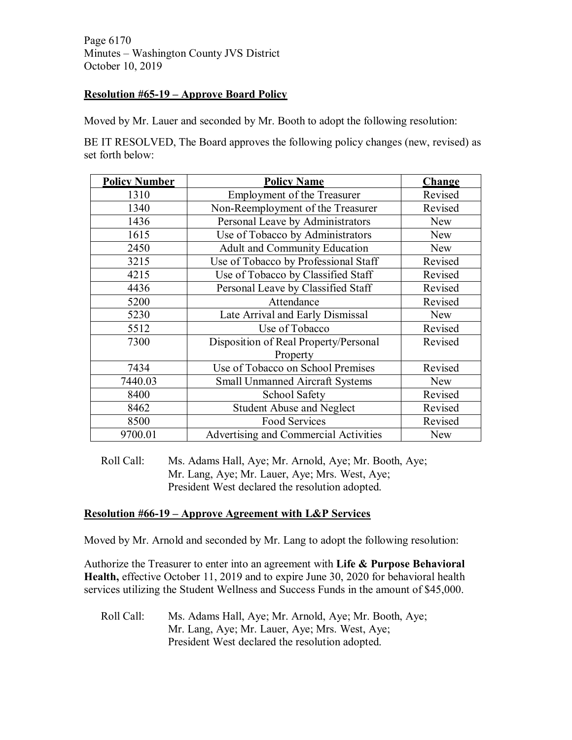Page 6170 Minutes – Washington County JVS District October 10, 2019

# **Resolution #65-19 – Approve Board Policy**

Moved by Mr. Lauer and seconded by Mr. Booth to adopt the following resolution:

BE IT RESOLVED, The Board approves the following policy changes (new, revised) as set forth below:

| <b>Policy Number</b> | <b>Policy Name</b>                     | Change     |
|----------------------|----------------------------------------|------------|
| 1310                 | <b>Employment of the Treasurer</b>     | Revised    |
| 1340                 | Non-Reemployment of the Treasurer      | Revised    |
| 1436                 | Personal Leave by Administrators       | <b>New</b> |
| 1615                 | Use of Tobacco by Administrators       | <b>New</b> |
| 2450                 | Adult and Community Education          | New        |
| 3215                 | Use of Tobacco by Professional Staff   | Revised    |
| 4215                 | Use of Tobacco by Classified Staff     | Revised    |
| 4436                 | Personal Leave by Classified Staff     | Revised    |
| 5200                 | Attendance                             | Revised    |
| 5230                 | Late Arrival and Early Dismissal       | <b>New</b> |
| 5512                 | Use of Tobacco                         | Revised    |
| 7300                 | Disposition of Real Property/Personal  | Revised    |
|                      | Property                               |            |
| 7434                 | Use of Tobacco on School Premises      | Revised    |
| 7440.03              | <b>Small Unmanned Aircraft Systems</b> | <b>New</b> |
| 8400                 | School Safety                          | Revised    |
| 8462                 | <b>Student Abuse and Neglect</b>       | Revised    |
| 8500                 | Food Services                          | Revised    |
| 9700.01              | Advertising and Commercial Activities  | <b>New</b> |

Roll Call: Ms. Adams Hall, Aye; Mr. Arnold, Aye; Mr. Booth, Aye; Mr. Lang, Aye; Mr. Lauer, Aye; Mrs. West, Aye; President West declared the resolution adopted.

# **Resolution #66-19 – Approve Agreement with L&P Services**

Moved by Mr. Arnold and seconded by Mr. Lang to adopt the following resolution:

Authorize the Treasurer to enter into an agreement with **Life & Purpose Behavioral Health,** effective October 11, 2019 and to expire June 30, 2020 for behavioral health services utilizing the Student Wellness and Success Funds in the amount of \$45,000.

Roll Call: Ms. Adams Hall, Aye; Mr. Arnold, Aye; Mr. Booth, Aye; Mr. Lang, Aye; Mr. Lauer, Aye; Mrs. West, Aye; President West declared the resolution adopted.